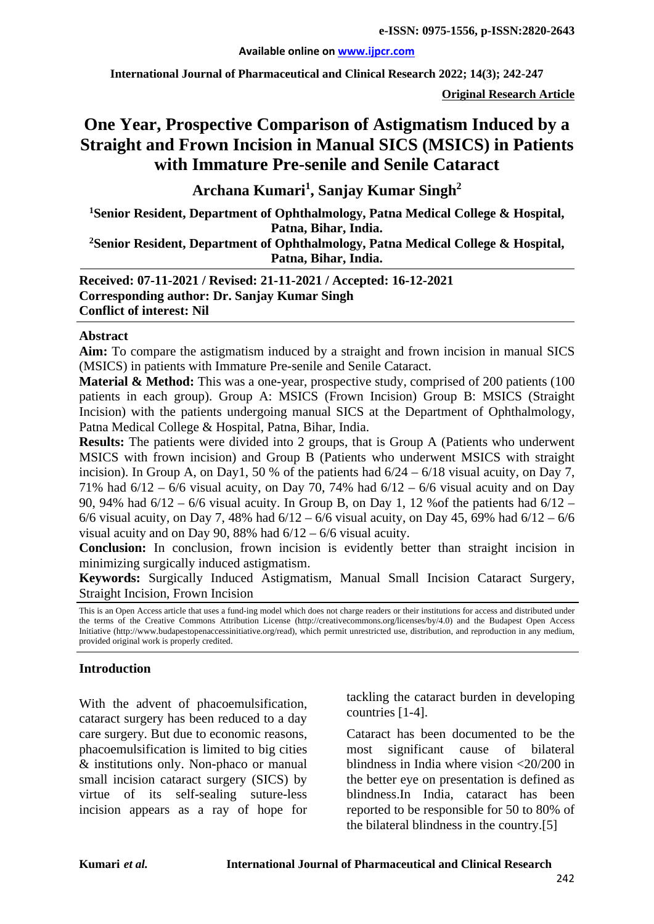#### **Available online on [www.ijpcr.com](http://www.ijpcr.com/)**

**International Journal of Pharmaceutical and Clinical Research 2022; 14(3); 242-247**

**Original Research Article**

# **One Year, Prospective Comparison of Astigmatism Induced by a Straight and Frown Incision in Manual SICS (MSICS) in Patients with Immature Pre-senile and Senile Cataract**

**Archana Kumari<sup>1</sup> , Sanjay Kumar Singh2**

**1 Senior Resident, Department of Ophthalmology, Patna Medical College & Hospital, Patna, Bihar, India.**

**2Senior Resident, Department of Ophthalmology, Patna Medical College & Hospital, Patna, Bihar, India.**

**Received: 07-11-2021 / Revised: 21-11-2021 / Accepted: 16-12-2021 Corresponding author: Dr. Sanjay Kumar Singh Conflict of interest: Nil**

#### **Abstract**

**Aim:** To compare the astigmatism induced by a straight and frown incision in manual SICS (MSICS) in patients with Immature Pre-senile and Senile Cataract.

**Material & Method:** This was a one-year, prospective study, comprised of 200 patients (100) patients in each group). Group A: MSICS (Frown Incision) Group B: MSICS (Straight Incision) with the patients undergoing manual SICS at the Department of Ophthalmology, Patna Medical College & Hospital, Patna, Bihar, India.

**Results:** The patients were divided into 2 groups, that is Group A (Patients who underwent MSICS with frown incision) and Group B (Patients who underwent MSICS with straight incision). In Group A, on Day1, 50 % of the patients had  $6/24 - 6/18$  visual acuity, on Day 7, 71% had 6/12 – 6/6 visual acuity, on Day 70, 74% had 6/12 – 6/6 visual acuity and on Day 90, 94% had 6/12 – 6/6 visual acuity. In Group B, on Day 1, 12 %of the patients had 6/12 – 6/6 visual acuity, on Day 7, 48% had  $6/12 - 6/6$  visual acuity, on Day 45, 69% had  $6/12 - 6/6$ visual acuity and on Day 90, 88% had  $6/12 - 6/6$  visual acuity.

**Conclusion:** In conclusion, frown incision is evidently better than straight incision in minimizing surgically induced astigmatism.

**Keywords:** Surgically Induced Astigmatism, Manual Small Incision Cataract Surgery, Straight Incision, Frown Incision

This is an Open Access article that uses a fund-ing model which does not charge readers or their institutions for access and distributed under the terms of the Creative Commons Attribution License (http://creativecommons.org/licenses/by/4.0) and the Budapest Open Access Initiative (http://www.budapestopenaccessinitiative.org/read), which permit unrestricted use, distribution, and reproduction in any medium, provided original work is properly credited.

#### **Introduction**

With the advent of phacoemulsification, cataract surgery has been reduced to a day care surgery. But due to economic reasons, phacoemulsification is limited to big cities & institutions only. Non-phaco or manual small incision cataract surgery (SICS) by virtue of its self-sealing suture-less incision appears as a ray of hope for tackling the cataract burden in developing countries [1-4].

Cataract has been documented to be the most significant cause of bilateral blindness in India where vision <20/200 in the better eye on presentation is defined as blindness.In India, cataract has been reported to be responsible for 50 to 80% of the bilateral blindness in the country.[5]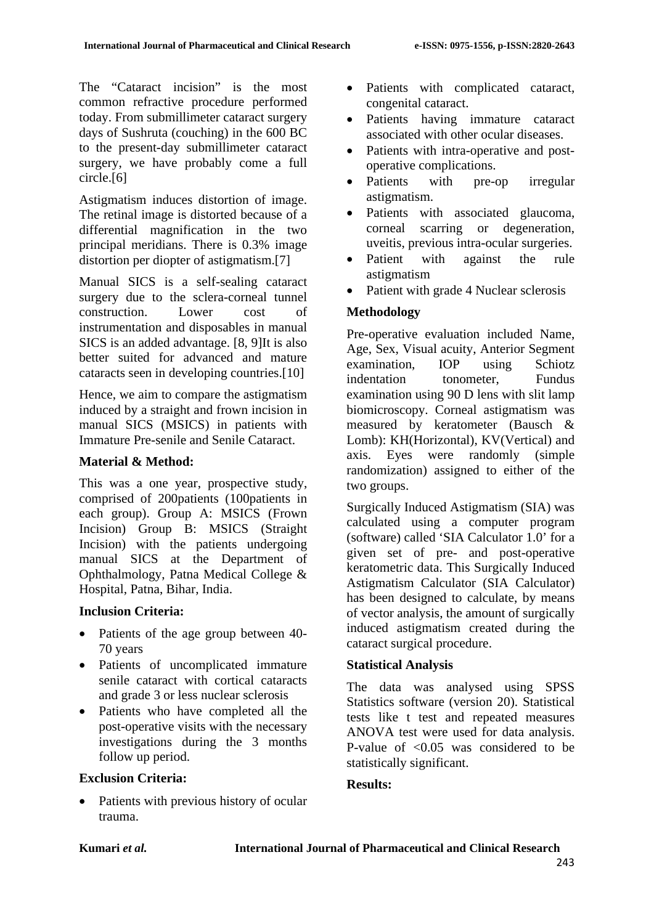The "Cataract incision" is the most common refractive procedure performed today. From submillimeter cataract surgery days of Sushruta (couching) in the 600 BC to the present-day submillimeter cataract surgery, we have probably come a full circle.[6]

Astigmatism induces distortion of image. The retinal image is distorted because of a differential magnification in the two principal meridians. There is 0.3% image distortion per diopter of astigmatism.[7]

Manual SICS is a self-sealing cataract surgery due to the sclera-corneal tunnel construction. Lower cost of instrumentation and disposables in manual SICS is an added advantage. [8, 9]It is also better suited for advanced and mature cataracts seen in developing countries.[10]

Hence, we aim to compare the astigmatism induced by a straight and frown incision in manual SICS (MSICS) in patients with Immature Pre-senile and Senile Cataract.

### **Material & Method:**

This was a one year, prospective study, comprised of 200patients (100patients in each group). Group A: MSICS (Frown Incision) Group B: MSICS (Straight Incision) with the patients undergoing manual SICS at the Department of Ophthalmology, Patna Medical College & Hospital, Patna, Bihar, India.

# **Inclusion Criteria:**

- Patients of the age group between 40-70 years
- Patients of uncomplicated immature senile cataract with cortical cataracts and grade 3 or less nuclear sclerosis
- Patients who have completed all the post-operative visits with the necessary investigations during the 3 months follow up period.

#### **Exclusion Criteria:**

Patients with previous history of ocular trauma.

- Patients with complicated cataract, congenital cataract.
- Patients having immature cataract associated with other ocular diseases.
- Patients with intra-operative and postoperative complications.
- Patients with pre-op irregular astigmatism.
- Patients with associated glaucoma, corneal scarring or degeneration, uveitis, previous intra-ocular surgeries.
- Patient with against the rule astigmatism
- Patient with grade 4 Nuclear sclerosis

# **Methodology**

Pre-operative evaluation included Name, Age, Sex, Visual acuity, Anterior Segment examination, IOP using Schiotz indentation tonometer, Fundus examination using 90 D lens with slit lamp biomicroscopy. Corneal astigmatism was measured by keratometer (Bausch & Lomb): KH(Horizontal), KV(Vertical) and axis. Eyes were randomly (simple randomization) assigned to either of the two groups.

Surgically Induced Astigmatism (SIA) was calculated using a computer program (software) called 'SIA Calculator 1.0' for a given set of pre- and post-operative keratometric data. This Surgically Induced Astigmatism Calculator (SIA Calculator) has been designed to calculate, by means of vector analysis, the amount of surgically induced astigmatism created during the cataract surgical procedure.

#### **Statistical Analysis**

The data was analysed using SPSS Statistics software (version 20). Statistical tests like t test and repeated measures ANOVA test were used for data analysis. P-value of <0.05 was considered to be statistically significant.

#### **Results:**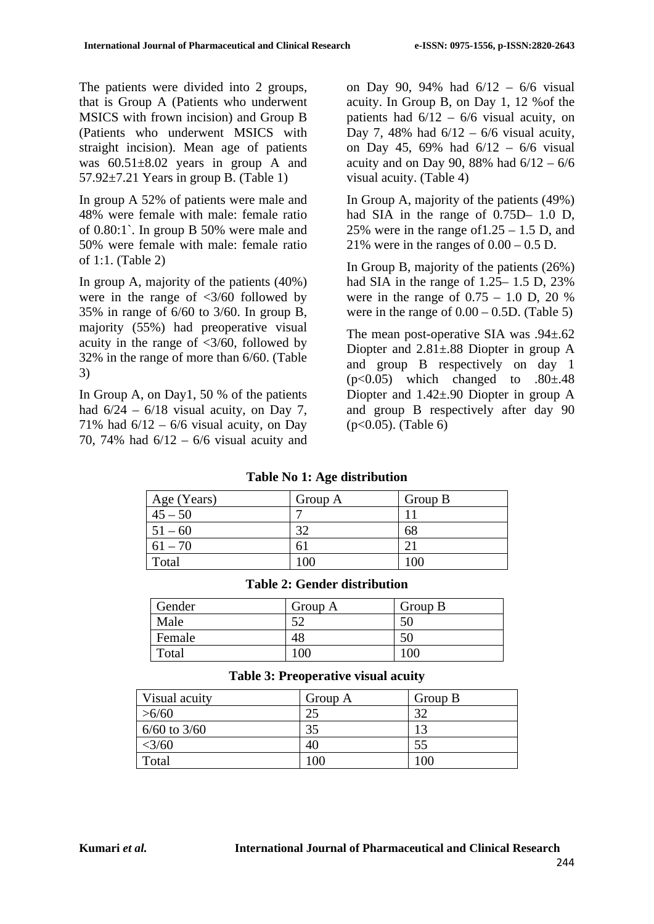The patients were divided into 2 groups, that is Group A (Patients who underwent MSICS with frown incision) and Group B (Patients who underwent MSICS with straight incision). Mean age of patients was 60.51±8.02 years in group A and  $57.92 \pm 7.21$  Years in group B. (Table 1)

In group A 52% of patients were male and 48% were female with male: female ratio of 0.80:1`. In group B 50% were male and 50% were female with male: female ratio of 1:1. (Table 2)

In group A, majority of the patients (40%) were in the range of  $\langle 3/60 \rangle$  followed by 35% in range of 6/60 to 3/60. In group B, majority (55%) had preoperative visual acuity in the range of  $\langle 3/60, 6$  followed by 32% in the range of more than 6/60. (Table 3)

In Group A, on Day1, 50 % of the patients had  $6/24 - 6/18$  visual acuity, on Day 7, 71% had  $6/12 - 6/6$  visual acuity, on Day 70, 74% had 6/12 – 6/6 visual acuity and on Day 90, 94% had 6/12 – 6/6 visual acuity. In Group B, on Day 1, 12 %of the patients had  $6/12 - 6/6$  visual acuity, on Day 7, 48% had  $6/12 - 6/6$  visual acuity, on Day 45, 69% had 6/12 – 6/6 visual acuity and on Day 90, 88% had  $6/12 - 6/6$ visual acuity. (Table 4)

In Group A, majority of the patients (49%) had SIA in the range of 0.75D– 1.0 D, 25% were in the range of  $1.25 - 1.5$  D, and 21% were in the ranges of  $0.00 - 0.5$  D.

In Group B, majority of the patients (26%) had SIA in the range of 1.25–1.5 D, 23% were in the range of  $0.75 - 1.0$  D,  $20\%$ were in the range of  $0.00 - 0.5D$ . (Table 5)

The mean post-operative SIA was  $.94\pm.62$ Diopter and 2.81±.88 Diopter in group A and group B respectively on day 1  $(p<0.05)$  which changed to  $.80\pm.48$ Diopter and 1.42±.90 Diopter in group A and group B respectively after day 90 (p<0.05). (Table 6)

#### **Table No 1: Age distribution**

| Age (Years) | Group A        | Group B |
|-------------|----------------|---------|
| $45 - 50$   |                |         |
| $51 - 60$   | 32             | 68      |
| $61 - 70$   | 6 <sub>1</sub> |         |
| Total       | 100            | 100     |

#### **Table 2: Gender distribution**

| Gender | Group A | Group B |
|--------|---------|---------|
| Male   | 50      | 50      |
| Female | 48      | эU      |
| Total  | 00      |         |

#### **Table 3: Preoperative visual acuity**

| Visual acuity  | Group A | Group B |
|----------------|---------|---------|
| >6/60          | 25      | 32      |
| $6/60$ to 3/60 | 35      | 13      |
| $<$ 3/60       | 40      | 55      |
| Total          | 100     | 100     |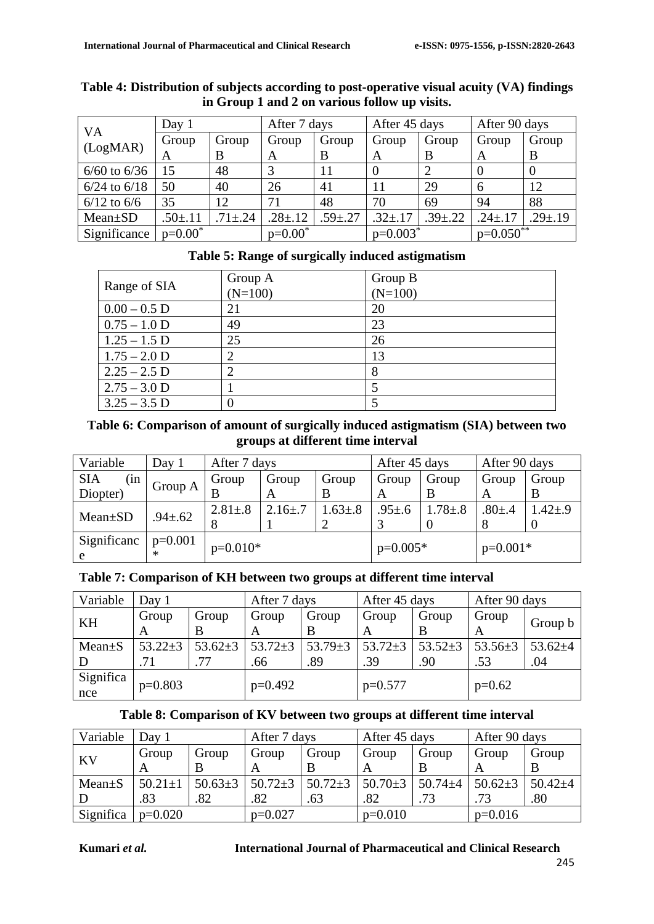|                  | Day 1         |              | After 7 days  |               | After 45 days |                | After 90 days |               |
|------------------|---------------|--------------|---------------|---------------|---------------|----------------|---------------|---------------|
| VA               | Group         | Group        | Group         | Group         | Group         | Group          | Group         | Group         |
| (LogMAR)         | A             | B            | A             | B             | A             | B              | A             | B             |
| $6/60$ to $6/36$ | 15            | 48           |               | 11            |               |                | $\theta$      |               |
| $6/24$ to $6/18$ | 50            | 40           | 26            | 41            | 11            | 29             | 6             | 12            |
| $6/12$ to $6/6$  | 35            | 12           | 71            | 48            | 70            | 69             | 94            | 88            |
| $Mean \pm SD$    | $.50 \pm .11$ | $71 \pm .24$ | $.28 \pm .12$ | $.59 \pm .27$ | $.32 \pm .17$ | $.39{\pm}0.22$ | $.24 \pm .17$ | $.29 \pm .19$ |
| Significance     | $p=0.00^*$    |              | $p=0.00^*$    |               | $p=0.003^*$   |                | $p=0.050***$  |               |

#### **Table 4: Distribution of subjects according to post-operative visual acuity (VA) findings in Group 1 and 2 on various follow up visits.**

|  |  | Table 5: Range of surgically induced astigmatism |
|--|--|--------------------------------------------------|
|  |  |                                                  |

| Range of SIA   | Group A<br>$(N=100)$ | Group B<br>$(N=100)$ |
|----------------|----------------------|----------------------|
| $0.00 - 0.5$ D | 21                   | 20                   |
| $0.75 - 1.0$ D | 49                   | 23                   |
| $1.25 - 1.5$ D | 25                   | 26                   |
| $1.75 - 2.0$ D |                      | 13                   |
| $2.25 - 2.5$ D |                      |                      |
| $2.75 - 3.0$ D |                      |                      |
| $3.25 - 3.5$ D |                      |                      |

# **Table 6: Comparison of amount of surgically induced astigmatism (SIA) between two groups at different time interval**

| Variable          | Day 1         |               | After 7 days   |               |              | After 45 days |              | After 90 days |  |
|-------------------|---------------|---------------|----------------|---------------|--------------|---------------|--------------|---------------|--|
| (in<br><b>SIA</b> | Group A       | Group         | Group          | Group         | Group        | Group         | Group        | Group         |  |
| Diopter)          |               |               |                | В             |              |               | A            |               |  |
| $Mean \pm SD$     | $.94 \pm .62$ | $2.81 \pm .8$ | $2.16{\pm}$ .7 | $1.63 \pm .8$ | $.95 \pm .6$ | $1.78 \pm .8$ | $.80{\pm}.4$ | $1.42 \pm .9$ |  |
|                   |               | 8             |                |               |              |               | 8            |               |  |
| Significanc<br>e  | $p=0.001$     | $p=0.010*$    |                |               | $p=0.005*$   |               | $p=0.001*$   |               |  |

# **Table 7: Comparison of KH between two groups at different time interval**

| Variable     | Day 1         |               | After 7 days  |               | After 45 days |               | After 90 days |               |
|--------------|---------------|---------------|---------------|---------------|---------------|---------------|---------------|---------------|
| KH           | Group         | Group         | Group         | Group         | Group         | Group         | Group         | Group b       |
|              | A             | В             | A             |               | A             | B             | A             |               |
| $Mean \pm S$ | $53.22 \pm 3$ | $53.62 \pm 3$ | $53.72 \pm 3$ | 53.79 $\pm$ 3 | $53.72 \pm 3$ | $53.52 \pm 3$ | 53.56 $\pm$ 3 | 53.62 $\pm$ 4 |
|              | .71           | .77           | .66           | .89           | .39           | .90           | .53           | .04           |
| Significa    | $p=0.803$     |               | $p=0.492$     |               | $p=0.577$     |               | $p=0.62$      |               |
| nce          |               |               |               |               |               |               |               |               |

# **Table 8: Comparison of KV between two groups at different time interval**

| Variable     | Day $1$       |               | After 7 days                  |       | After 45 days |               | After 90 days |               |
|--------------|---------------|---------------|-------------------------------|-------|---------------|---------------|---------------|---------------|
| <b>KV</b>    | Group         | Group         | Group                         | Group | Group         | Group         | Group         | Group         |
|              |               |               |                               |       | A             |               |               |               |
| $Mean \pm S$ | $50.21 \pm 1$ | $50.63 \pm 3$ | $50.72 \pm 3$   $50.72 \pm 3$ |       | $50.70 \pm 3$ | 50.74 $\pm$ 4 | $50.62 \pm 3$ | $50.42 \pm 4$ |
|              | .83           | .82           | .82                           | .63   | .82           | .73           | .73           | .80           |
| Significa    | $p=0.020$     |               | $p=0.027$                     |       | $p=0.010$     |               | $p=0.016$     |               |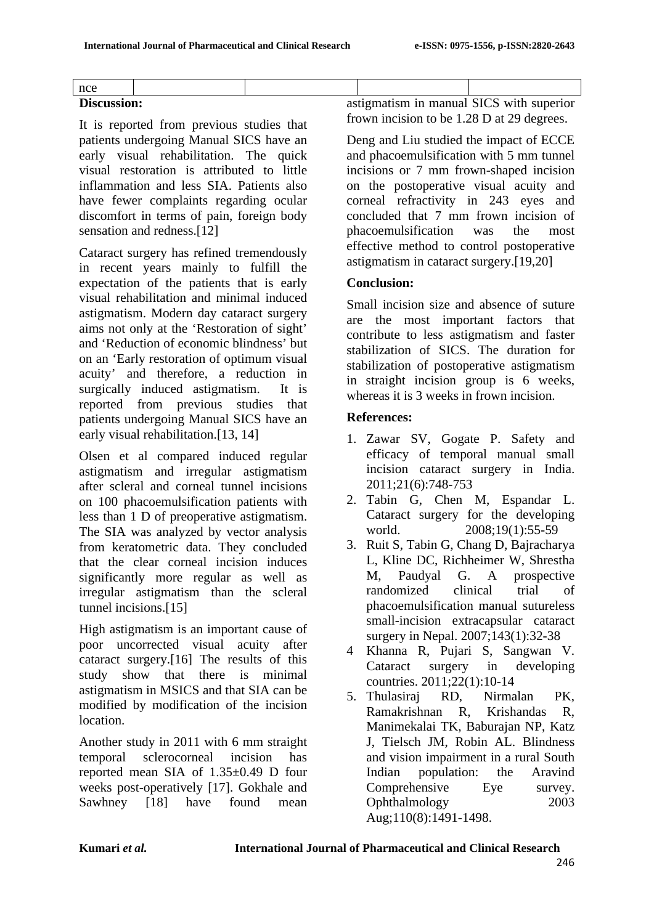| n<br>ı<br>I<br>× |  |
|------------------|--|
|                  |  |

# **Discussion:**

It is reported from previous studies that patients undergoing Manual SICS have an early visual rehabilitation. The quick visual restoration is attributed to little inflammation and less SIA. Patients also have fewer complaints regarding ocular discomfort in terms of pain, foreign body sensation and redness.[12]

Cataract surgery has refined tremendously in recent years mainly to fulfill the expectation of the patients that is early visual rehabilitation and minimal induced astigmatism. Modern day cataract surgery aims not only at the 'Restoration of sight' and 'Reduction of economic blindness' but on an 'Early restoration of optimum visual acuity' and therefore, a reduction in surgically induced astigmatism. It is reported from previous studies that patients undergoing Manual SICS have an early visual rehabilitation.<sup>[13, 14]</sup>

Olsen et al compared induced regular astigmatism and irregular astigmatism after scleral and corneal tunnel incisions on 100 phacoemulsification patients with less than 1 D of preoperative astigmatism. The SIA was analyzed by vector analysis from keratometric data. They concluded that the clear corneal incision induces significantly more regular as well as irregular astigmatism than the scleral tunnel incisions.<sup>[15]</sup>

High astigmatism is an important cause of poor uncorrected visual acuity after cataract surgery.[16] The results of this study show that there is minimal astigmatism in MSICS and that SIA can be modified by modification of the incision location.

Another study in 2011 with 6 mm straight temporal sclerocorneal incision has reported mean SIA of 1.35±0.49 D four weeks post-operatively [17]. Gokhale and Sawhney [18] have found mean astigmatism in manual SICS with superior frown incision to be 1.28 D at 29 degrees.

Deng and Liu studied the impact of ECCE and phacoemulsification with 5 mm tunnel incisions or 7 mm frown-shaped incision on the postoperative visual acuity and corneal refractivity in 243 eyes and concluded that 7 mm frown incision of phacoemulsification was the most effective method to control postoperative astigmatism in cataract surgery.[19,20]

### **Conclusion:**

Small incision size and absence of suture are the most important factors that contribute to less astigmatism and faster stabilization of SICS. The duration for stabilization of postoperative astigmatism in straight incision group is 6 weeks, whereas it is 3 weeks in frown incision.

### **References:**

- 1. Zawar SV, Gogate P. Safety and efficacy of temporal manual small incision cataract surgery in India. 2011;21(6):748-753
- 2. Tabin G, Chen M, Espandar L. Cataract surgery for the developing world. 2008;19(1):55-59
- 3. Ruit S, Tabin G, Chang D, Bajracharya L, Kline DC, Richheimer W, Shrestha M, Paudyal G. A prospective randomized clinical trial of phacoemulsification manual sutureless small-incision extracapsular cataract surgery in Nepal. 2007;143(1):32-38
- 4 Khanna R, Pujari S, Sangwan V. Cataract surgery in developing countries. 2011;22(1):10-14
- 5. Thulasiraj RD, Nirmalan PK, Ramakrishnan R, Krishandas R, Manimekalai TK, Baburajan NP, Katz J, Tielsch JM, Robin AL. Blindness and vision impairment in a rural South Indian population: the Aravind Comprehensive Eye survey. Ophthalmology 2003 Aug;110(8):1491-1498.